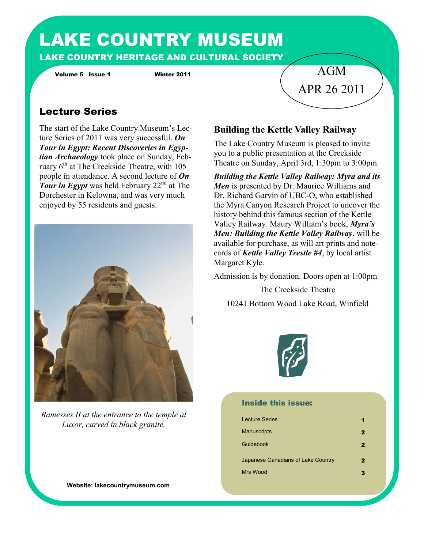# LAKE COUNTRY MUSEUM LAKE COUNTRY HERITAGE AND CULTURAL SOCIETY

Volume 5 Issue 1 Winter 2011

# Lecture Series

The start of the Lake Country Museum's Lecture Series of 2011 was very successful. *On Tour in Egypt: Recent Discoveries in Egyptian Archaeology* took place on Sunday, February  $6<sup>th</sup>$  at The Creekside Theatre, with 105 people in attendance. A second lecture of *On*  **Tour in Egypt** was held February 22<sup>nd</sup> at The Dorchester in Kelowna, and was very much enjoyed by 55 residents and guests.



*Ramesses II at the entrance to the temple at Luxor, carved in black granite.*

**Website: lakecountrymuseum.com**

#### **Building the Kettle Valley Railway**

The Lake Country Museum is pleased to invite you to a public presentation at the Creekside Theatre on Sunday, April 3rd, 1:30pm to 3:00pm.

AGM

APR 26 2011

*Building the Kettle Valley Railway: Myra and its Men* is presented by Dr. Maurice Williams and Dr. Richard Garvin of UBC-O, who established the Myra Canyon Research Project to uncover the history behind this famous section of the Kettle Valley Railway. Maury William's book, *Myra's Men: Building the Kettle Valley Railway*, will be available for purchase, as will art prints and notecards of *Kettle Valley Trestle #4*, by local artist Margaret Kyle.

Admission is by donation. Doors open at 1:00pm

The Creekside Theatre 10241 Bottom Wood Lake Road, Winfield



#### Inside this issue:

| <b>Lecture Series</b>              |   |
|------------------------------------|---|
| <b>Manuscripts</b>                 | 2 |
| Guidebook                          | 2 |
| Japanese Canadians of Lake Country | 2 |
| Mrs Wood                           |   |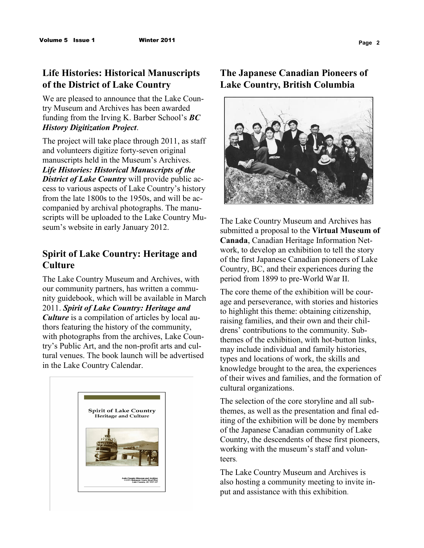## **Life Histories: Historical Manuscripts of the District of Lake Country**

We are pleased to announce that the Lake Country Museum and Archives has been awarded funding from the Irving K. Barber School's *BC History Digitization Project*.

The project will take place through 2011, as staff and volunteers digitize forty-seven original manuscripts held in the Museum's Archives. *Life Histories: Historical Manuscripts of the District of Lake Country* will provide public access to various aspects of Lake Country's history from the late 1800s to the 1950s, and will be accompanied by archival photographs. The manuscripts will be uploaded to the Lake Country Museum's website in early January 2012.

### **Spirit of Lake Country: Heritage and Culture**

The Lake Country Museum and Archives, with our community partners, has written a community guidebook, which will be available in March 2011. *Spirit of Lake Country: Heritage and Culture* is a compilation of articles by local authors featuring the history of the community, with photographs from the archives, Lake Country's Public Art, and the non-profit arts and cultural venues. The book launch will be advertised in the Lake Country Calendar.



## **The Japanese Canadian Pioneers of Lake Country, British Columbia**



The Lake Country Museum and Archives has submitted a proposal to the **Virtual Museum of Canada**, Canadian Heritage Information Network, to develop an exhibition to tell the story of the first Japanese Canadian pioneers of Lake Country, BC, and their experiences during the period from 1899 to pre-World War II.

The core theme of the exhibition will be courage and perseverance, with stories and histories to highlight this theme: obtaining citizenship, raising families, and their own and their childrens' contributions to the community. Subthemes of the exhibition, with hot-button links, may include individual and family histories, types and locations of work, the skills and knowledge brought to the area, the experiences of their wives and families, and the formation of cultural organizations.

The selection of the core storyline and all subthemes, as well as the presentation and final editing of the exhibition will be done by members of the Japanese Canadian community of Lake Country, the descendents of these first pioneers, working with the museum's staff and volunteers.

The Lake Country Museum and Archives is also hosting a community meeting to invite input and assistance with this exhibition.